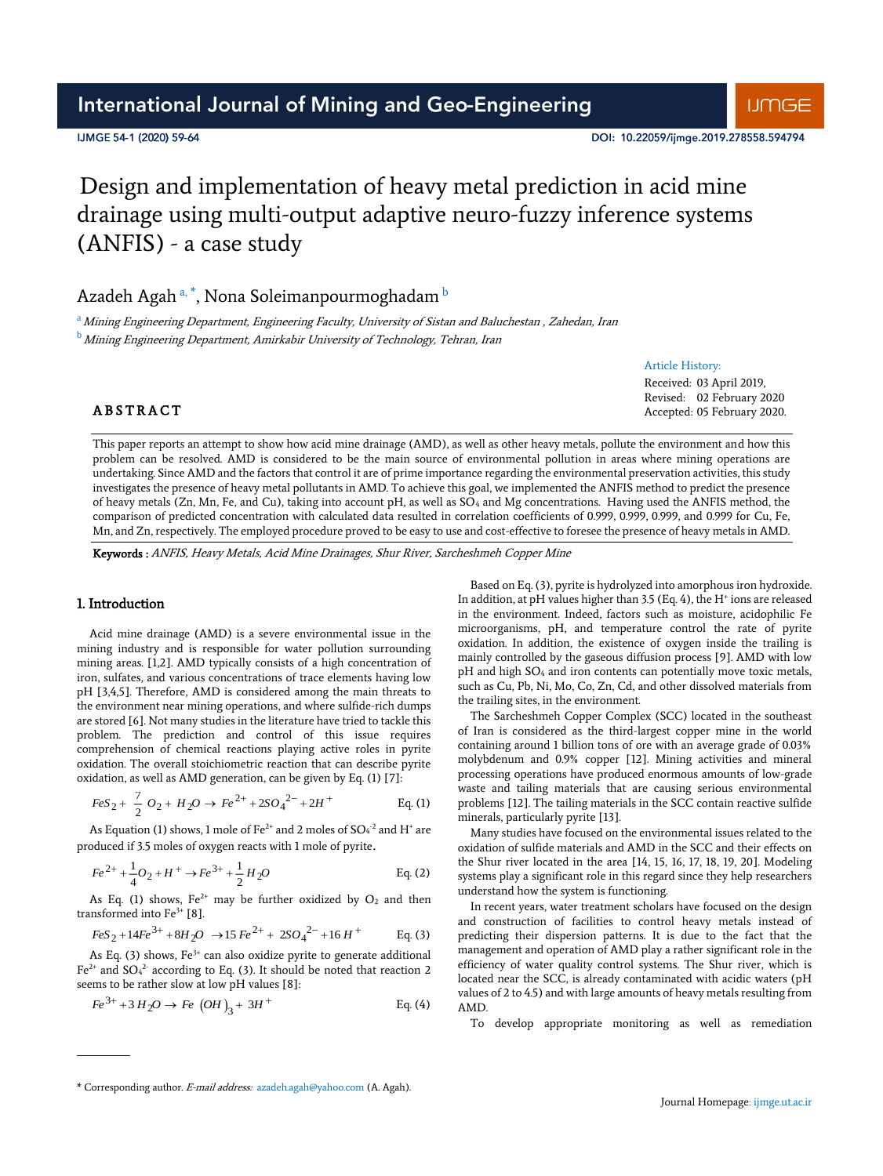## International Journal of Mining and Geo-Engineering

#### IJMGE 54-1 (2020) 59-64

DOI: 10.22059/iimge.2019.278558.594794

Article History: Received: 03 April 2019, Revised: 02 February 2020 Accepted: 05 February 2020.

# Design and implementation of heavy metal prediction in acid mine drainage using multi-output adaptive neuro-fuzzy inference systems (ANFIS) - a case study

Azadeh Agah ª, \*, Nona Soleimanpourmoghadam  $^{\rm b}$ 

a Mining Engineering Department, Engineering Faculty, University of Sistan and Baluchestan , Zahedan, Iran

**b** Mining Engineering Department, Amirkabir University of Technology, Tehran, Iran

## **ABSTRACT**

This paper reports an attempt to show how acid mine drainage (AMD), as well as other heavy metals, pollute the environment and how this problem can be resolved. AMD is considered to be the main source of environmental pollution in areas where mining operations are undertaking. Since AMD and the factors that control it are of prime importance regarding the environmental preservation activities, this study investigates the presence of heavy metal pollutants in AMD. To achieve this goal, we implemented the ANFIS method to predict the presence of heavy metals (Zn, Mn, Fe, and Cu), taking into account pH, as well as SO<sup>4</sup> and Mg concentrations. Having used the ANFIS method, the comparison of predicted concentration with calculated data resulted in correlation coefficients of 0.999, 0.999, 0.999, and 0.999 for Cu, Fe, Mn, and Zn, respectively. The employed procedure proved to be easy to use and cost-effective to foresee the presence of heavy metals in AMD.

Keywords : ANFIS, Heavy Metals, Acid Mine Drainages, Shur River, Sarcheshmeh Copper Mine

#### 1. Introduction

Acid mine drainage (AMD) is a severe environmental issue in the mining industry and is responsible for water pollution surrounding mining areas. [1,2]. AMD typically consists of a high concentration of iron, sulfates, and various concentrations of trace elements having low pH [3,4,5]. Therefore, AMD is considered among the main threats to the environment near mining operations, and where sulfide-rich dumps are stored [6]. Not many studies in the literature have tried to tackle this problem. The prediction and control of this issue requires comprehension of chemical reactions playing active roles in pyrite oxidation. The overall stoichiometric reaction that can describe pyrite oxidation, as well as AMD generation, can be given by Eq. (1) [7]:

$$
FeS_2 + \frac{7}{2}O_2 + H_2O \rightarrow Fe^{2+} + 2SO_4^{2-} + 2H^+ \qquad \text{Eq. (1)}
$$

As Equation (1) shows, 1 mole of Fe<sup>2+</sup> and 2 moles of  $SO_4^{-2}$  and H<sup>+</sup> are produced if 3.5 moles of oxygen reacts with 1 mole of pyrite.

$$
Fe^{2+} + \frac{1}{4}O_2 + H^+ \rightarrow Fe^{3+} + \frac{1}{2}H_2O
$$
 Eq. (2)

As Eq. (1) shows,  $Fe^{2+}$  may be further oxidized by  $O_2$  and then transformed into  $Fe<sup>3+</sup>$  [8].

$$
FeS_2 + 14Fe^{3+} + 8H_2O \rightarrow 15Fe^{2+} + 2SO_4^{2-} + 16H^+
$$
 Eq. (3)

As Eq. (3) shows,  $Fe<sup>3+</sup>$  can also oxidize pyrite to generate additional  $Fe<sup>2+</sup>$  and SO<sub>4</sub><sup>2</sup> according to Eq. (3). It should be noted that reaction 2 seems to be rather slow at low pH values [8]:

$$
Fe^{3+} + 3H_2O \to Fe \ (OH)_3 + 3H^+ \qquad \text{Eq. (4)}
$$

Based on Eq. (3), pyrite is hydrolyzed into amorphous iron hydroxide. In addition, at pH values higher than  $3.5$  (Eq. 4), the H<sup>+</sup> ions are released in the environment. Indeed, factors such as moisture, acidophilic Fe microorganisms, pH, and temperature control the rate of pyrite oxidation. In addition, the existence of oxygen inside the trailing is mainly controlled by the gaseous diffusion process [9]. AMD with low pH and high SO<sub>4</sub> and iron contents can potentially move toxic metals, such as Cu, Pb, Ni, Mo, Co, Zn, Cd, and other dissolved materials from the trailing sites, in the environment.

The Sarcheshmeh Copper Complex (SCC) located in the southeast of Iran is considered as the third-largest copper mine in the world containing around 1 billion tons of ore with an average grade of 0.03% molybdenum and 0.9% copper [12]. Mining activities and mineral processing operations have produced enormous amounts of low-grade waste and tailing materials that are causing serious environmental problems [12]. The tailing materials in the SCC contain reactive sulfide minerals, particularly pyrite [13].

Many studies have focused on the environmental issues related to the oxidation of sulfide materials and AMD in the SCC and their effects on the Shur river located in the area [14, 15, 16, 17, 18, 19, 20]. Modeling systems play a significant role in this regard since they help researchers understand how the system is functioning.

In recent years, water treatment scholars have focused on the design and construction of facilities to control heavy metals instead of predicting their dispersion patterns. It is due to the fact that the management and operation of AMD play a rather significant role in the efficiency of water quality control systems. The Shur river, which is located near the SCC, is already contaminated with acidic waters (pH values of 2 to 4.5) and with large amounts of heavy metals resulting from AMD.

To develop appropriate monitoring as well as remediation

<sup>\*</sup> Corresponding author. E-mail address: azadeh.agah@yahoo.com (A. Agah).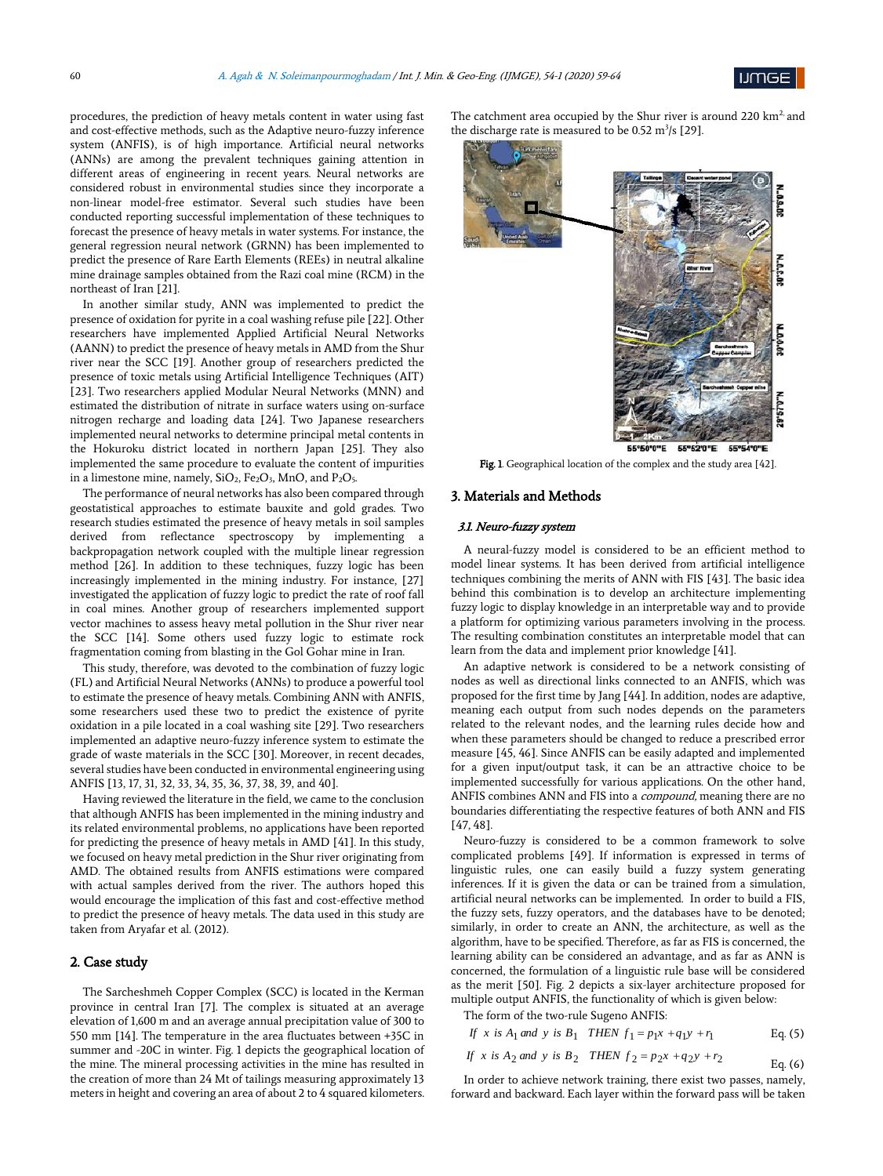

procedures, the prediction of heavy metals content in water using fast and cost-effective methods, such as the Adaptive neuro-fuzzy inference system (ANFIS), is of high importance. Artificial neural networks (ANNs) are among the prevalent techniques gaining attention in different areas of engineering in recent years. Neural networks are considered robust in environmental studies since they incorporate a non-linear model-free estimator. Several such studies have been conducted reporting successful implementation of these techniques to forecast the presence of heavy metals in water systems. For instance, the general regression neural network (GRNN) has been implemented to predict the presence of Rare Earth Elements (REEs) in neutral alkaline mine drainage samples obtained from the Razi coal mine (RCM) in the northeast of Iran [21].

In another similar study, ANN was implemented to predict the presence of oxidation for pyrite in a coal washing refuse pile [22]. Other researchers have implemented Applied Artificial Neural Networks (AANN) to predict the presence of heavy metals in AMD from the Shur river near the SCC [19]. Another group of researchers predicted the presence of toxic metals using Artificial Intelligence Techniques (AIT) [23]. Two researchers applied Modular Neural Networks (MNN) and estimated the distribution of nitrate in surface waters using on-surface nitrogen recharge and loading data [24]. Two Japanese researchers implemented neural networks to determine principal metal contents in the Hokuroku district located in northern Japan [25]. They also implemented the same procedure to evaluate the content of impurities in a limestone mine, namely,  $SiO<sub>2</sub>$ ,  $Fe<sub>2</sub>O<sub>3</sub>$ , MnO, and P<sub>2</sub>O<sub>5</sub>.

The performance of neural networks has also been compared through geostatistical approaches to estimate bauxite and gold grades. Two research studies estimated the presence of heavy metals in soil samples derived from reflectance spectroscopy by implementing a backpropagation network coupled with the multiple linear regression method [26]. In addition to these techniques, fuzzy logic has been increasingly implemented in the mining industry. For instance, [27] investigated the application of fuzzy logic to predict the rate of roof fall in coal mines. Another group of researchers implemented support vector machines to assess heavy metal pollution in the Shur river near the SCC [14]. Some others used fuzzy logic to estimate rock fragmentation coming from blasting in the Gol Gohar mine in Iran.

This study, therefore, was devoted to the combination of fuzzy logic (FL) and Artificial Neural Networks (ANNs) to produce a powerful tool to estimate the presence of heavy metals. Combining ANN with ANFIS, some researchers used these two to predict the existence of pyrite oxidation in a pile located in a coal washing site [29]. Two researchers implemented an adaptive neuro-fuzzy inference system to estimate the grade of waste materials in the SCC [30]. Moreover, in recent decades, several studies have been conducted in environmental engineering using ANFIS [13, 17, 31, 32, 33, 34, 35, 36, 37, 38, 39, and 40].

Having reviewed the literature in the field, we came to the conclusion that although ANFIS has been implemented in the mining industry and its related environmental problems, no applications have been reported for predicting the presence of heavy metals in AMD [41]. In this study, we focused on heavy metal prediction in the Shur river originating from AMD. The obtained results from ANFIS estimations were compared with actual samples derived from the river. The authors hoped this would encourage the implication of this fast and cost-effective method to predict the presence of heavy metals. The data used in this study are taken from Aryafar et al. (2012).

#### 2. Case study

The Sarcheshmeh Copper Complex (SCC) is located in the Kerman province in central Iran [7]. The complex is situated at an average elevation of 1,600 m and an average annual precipitation value of 300 to 550 mm [14]. The temperature in the area fluctuates between +35C in summer and -20C in winter. Fig. 1 depicts the geographical location of the mine. The mineral processing activities in the mine has resulted in the creation of more than 24 Mt of tailings measuring approximately 13 meters in height and covering an area of about 2 to 4 squared kilometers.

The catchment area occupied by the Shur river is around 220 km<sup>2</sup> and the discharge rate is measured to be  $0.52 \text{ m}^3\text{/s}$  [29].



Fig. 1. Geographical location of the complex and the study area [42].

#### 3. Materials and Methods

#### 3.1. Neuro-fuzzy system

A neural-fuzzy model is considered to be an efficient method to model linear systems. It has been derived from artificial intelligence techniques combining the merits of ANN with FIS [43]. The basic idea behind this combination is to develop an architecture implementing fuzzy logic to display knowledge in an interpretable way and to provide a platform for optimizing various parameters involving in the process. The resulting combination constitutes an interpretable model that can learn from the data and implement prior knowledge [41].

An adaptive network is considered to be a network consisting of nodes as well as directional links connected to an ANFIS, which was proposed for the first time by Jang [44]. In addition, nodes are adaptive, meaning each output from such nodes depends on the parameters related to the relevant nodes, and the learning rules decide how and when these parameters should be changed to reduce a prescribed error measure [45, 46]. Since ANFIS can be easily adapted and implemented for a given input/output task, it can be an attractive choice to be implemented successfully for various applications. On the other hand, ANFIS combines ANN and FIS into a *compound*, meaning there are no boundaries differentiating the respective features of both ANN and FIS [47, 48].

Neuro-fuzzy is considered to be a common framework to solve complicated problems [49]. If information is expressed in terms of linguistic rules, one can easily build a fuzzy system generating inferences. If it is given the data or can be trained from a simulation, artificial neural networks can be implemented. In order to build a FIS, the fuzzy sets, fuzzy operators, and the databases have to be denoted; similarly, in order to create an ANN, the architecture, as well as the algorithm, have to be specified. Therefore, as far as FIS is concerned, the learning ability can be considered an advantage, and as far as ANN is concerned, the formulation of a linguistic rule base will be considered as the merit [50]. Fig. 2 depicts a six-layer architecture proposed for multiple output ANFIS, the functionality of which is given below:

The form of the two-rule Sugeno ANFIS:  
\nIf x is 
$$
A_1
$$
 and y is  $B_1$  THEN  $f_1 = p_1 x + q_1 y + r_1$  Eq. (5)

If x is 
$$
A_2
$$
 and y is  $B_2$  THEN  $f_2 = p_2 x + q_2 y + r_2$  Eq. (6)

In order to achieve network training, there exist two passes, namely, forward and backward. Each layer within the forward pass will be taken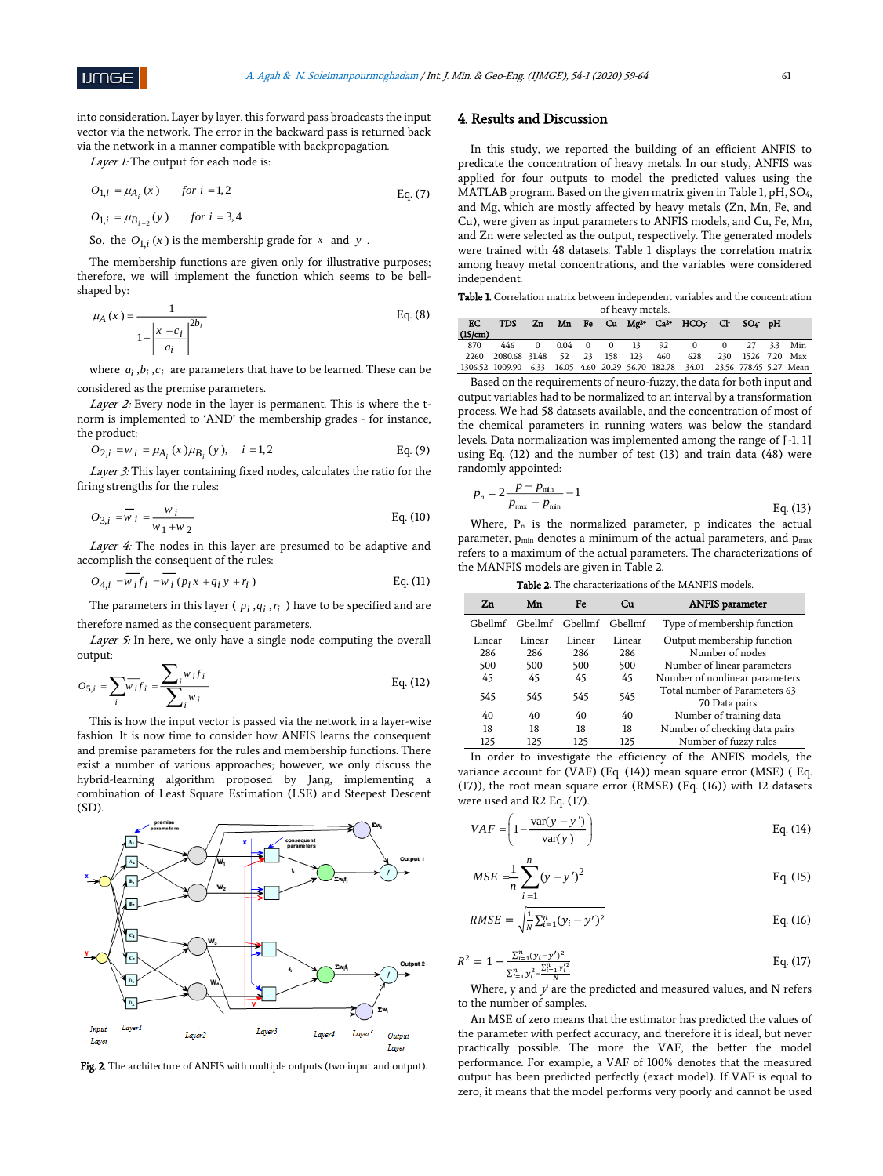

into consideration. Layer by layer, this forward pass broadcasts the input vector via the network. The error in the backward pass is returned back via the network in a manner compatible with backpropagation.

Layer 1: The output for each node is:

 $O_{1,i} = \mu_{B_{i-2}}(y)$  for  $i = 3, 4$ 

$$
O_{1,i} = \mu_{A_i}(x) \qquad \text{for } i = 1, 2 \tag{7}
$$

So, the  $O_{1,i}(x)$  is the membership grade for  $x$  and  $y$ .

The membership functions are given only for illustrative purposes; therefore, we will implement the function which seems to be bellshaped by:

$$
\mu_{A}(x) = \frac{1}{1 + \left|\frac{x - c_{i}}{a_{i}}\right|^{2b_{i}}}
$$
 Eq. (8)

where  $a_i$ ,  $b_i$ ,  $c_i$  are parameters that have to be learned. These can be considered as the premise parameters.

Layer 2: Every node in the layer is permanent. This is where the tnorm is implemented to 'AND' the membership grades - for instance, the product:

$$
O_{2,i} = w_i = \mu_{A_i}(x)\mu_{B_i}(y), \quad i = 1, 2
$$
 Eq. (9)

Layer 3: This layer containing fixed nodes, calculates the ratio for the firing strengths for the rules:

$$
O_{3,i} = \overline{w}_{i} = \frac{w_{i}}{w_{1} + w_{2}}
$$
 Eq. (10)

Layer 4: The nodes in this layer are presumed to be adaptive and accomplish the consequent of the rules:

$$
O_{4,i} = w_i f_i = w_i (p_i x + q_i y + r_i)
$$
 Eq. (11)

The parameters in this layer ( $p_i$ , $q_i$ , $r_i$ ) have to be specified and are therefore named as the consequent parameters.

Layer 5: In here, we only have a single node computing the overall output:

$$
O_{5,i} = \sum_{i} w_{i} f_{i} = \frac{\sum_{i} w_{i} f_{i}}{\sum_{i} w_{i}}
$$
 Eq. (12)

This is how the input vector is passed via the network in a layer-wise fashion. It is now time to consider how ANFIS learns the consequent and premise parameters for the rules and membership functions. There exist a number of various approaches; however, we only discuss the hybrid-learning algorithm proposed by Jang, implementing a combination of Least Square Estimation (LSE) and Steepest Descent (SD).



Fig. 2. The architecture of ANFIS with multiple outputs (two input and output).

## 4. Results and Discussion

In this study, we reported the building of an efficient ANFIS to predicate the concentration of heavy metals. In our study, ANFIS was applied for four outputs to model the predicted values using the MATLAB program. Based on the given matrix given in Table 1, pH, SO4, and Mg, which are mostly affected by heavy metals (Zn, Mn, Fe, and Cu), were given as input parameters to ANFIS models, and Cu, Fe, Mn, and Zn were selected as the output, respectively. The generated models were trained with 48 datasets. Table 1 displays the correlation matrix among heavy metal concentrations, and the variables were considered independent.

Table 1. Correlation matrix between independent variables and the concentration of heavy metals.

| EC      |                                                                                 |  |  |                      | TDS Zn Mn Fe Cu Mg <sup>2+</sup> Ca <sup>2+</sup> HCO <sub>3</sub> <sup>-</sup> Cl <sup>-</sup> SO <sub>4</sub> <sup>-</sup> pH |              |  |
|---------|---------------------------------------------------------------------------------|--|--|----------------------|---------------------------------------------------------------------------------------------------------------------------------|--------------|--|
| (1S/cm) |                                                                                 |  |  |                      |                                                                                                                                 |              |  |
| 870     |                                                                                 |  |  | 446 0 0.04 0 0 13 92 | $\mathbf{0}$                                                                                                                    | 0 27 3.3 Min |  |
|         | 2260 2080.68 31.48 52 23 158 123 460 628 230 1526 7.20 Max                      |  |  |                      |                                                                                                                                 |              |  |
|         | 1306.52 1009.90 6.33 16.05 4.60 20.29 56.70 182.78 34.01 23.56 778.45 5.27 Mean |  |  |                      |                                                                                                                                 |              |  |

Based on the requirements of neuro-fuzzy, the data for both input and output variables had to be normalized to an interval by a transformation process. We had 58 datasets available, and the concentration of most of the chemical parameters in running waters was below the standard levels. Data normalization was implemented among the range of [-1, 1] using Eq. (12) and the number of test (13) and train data (48) were randomly appointed:

$$
p_n = 2 \frac{p - p_{\min}}{p_{\max} - p_{\min}} - 1
$$
 Eq. (13)

Where,  $P_n$  is the normalized parameter, p indicates the actual parameter,  $p_{min}$  denotes a minimum of the actual parameters, and  $p_{max}$ refers to a maximum of the actual parameters. The characterizations of the MANFIS models are given in Table 2.

|  | <b>Table 2</b> . The characterizations of the MANFIS models. |  |  |  |
|--|--------------------------------------------------------------|--|--|--|
|--|--------------------------------------------------------------|--|--|--|

| Zn      | Mn      | Fe      | Cп      | <b>ANFIS</b> parameter         |
|---------|---------|---------|---------|--------------------------------|
| Ghellmf | Ghellmf | Ghellmf | Gbellmf | Type of membership function    |
| Linear  | Linear  | Linear  | Linear  | Output membership function     |
| 286     | 286     | 286     | 286     | Number of nodes                |
| 500     | 500     | 500     | 500     | Number of linear parameters    |
| 45      | 45      | 45      | 45      | Number of nonlinear parameters |
| 545     | 545     | 545     | 545     | Total number of Parameters 63  |
|         |         |         |         | 70 Data pairs                  |
| 40      | 40      | 40      | 40      | Number of training data        |
| 18      | 18      | 18      | 18      | Number of checking data pairs  |
| 125     | 125     | 125     | 125     | Number of fuzzy rules          |

In order to investigate the efficiency of the ANFIS models, the variance account for (VAF) (Eq. (14)) mean square error (MSE) ( Eq. (17)), the root mean square error (RMSE) (Eq. (16)) with 12 datasets were used and R2 Eq. (17).

$$
VAF = \left(1 - \frac{\text{var}(y - y')}{\text{var}(y)}\right) \qquad \qquad \text{Eq. (14)}
$$

$$
MSE = \frac{1}{n} \sum_{i=1}^{n} (y - y')^{2}
$$
 Eq. (15)

$$
RMSE = \sqrt{\frac{1}{N} \sum_{i=1}^{n} (y_i - y')^2}
$$
 Eq. (16)

$$
R^{2} = 1 - \frac{\sum_{i=1}^{n} (y_{i} - y')^{2}}{\sum_{i=1}^{n} y_{i}^{2} - \frac{\sum_{i=1}^{n} y_{i}'^{2}}{N}}
$$
 Eq. (17)

Where, y and  $y'$  are the predicted and measured values, and N refers to the number of samples.

An MSE of zero means that the estimator has predicted the values of the parameter with perfect accuracy, and therefore it is ideal, but never practically possible. The more the VAF, the better the model performance. For example, a VAF of 100% denotes that the measured output has been predicted perfectly (exact model). If VAF is equal to zero, it means that the model performs very poorly and cannot be used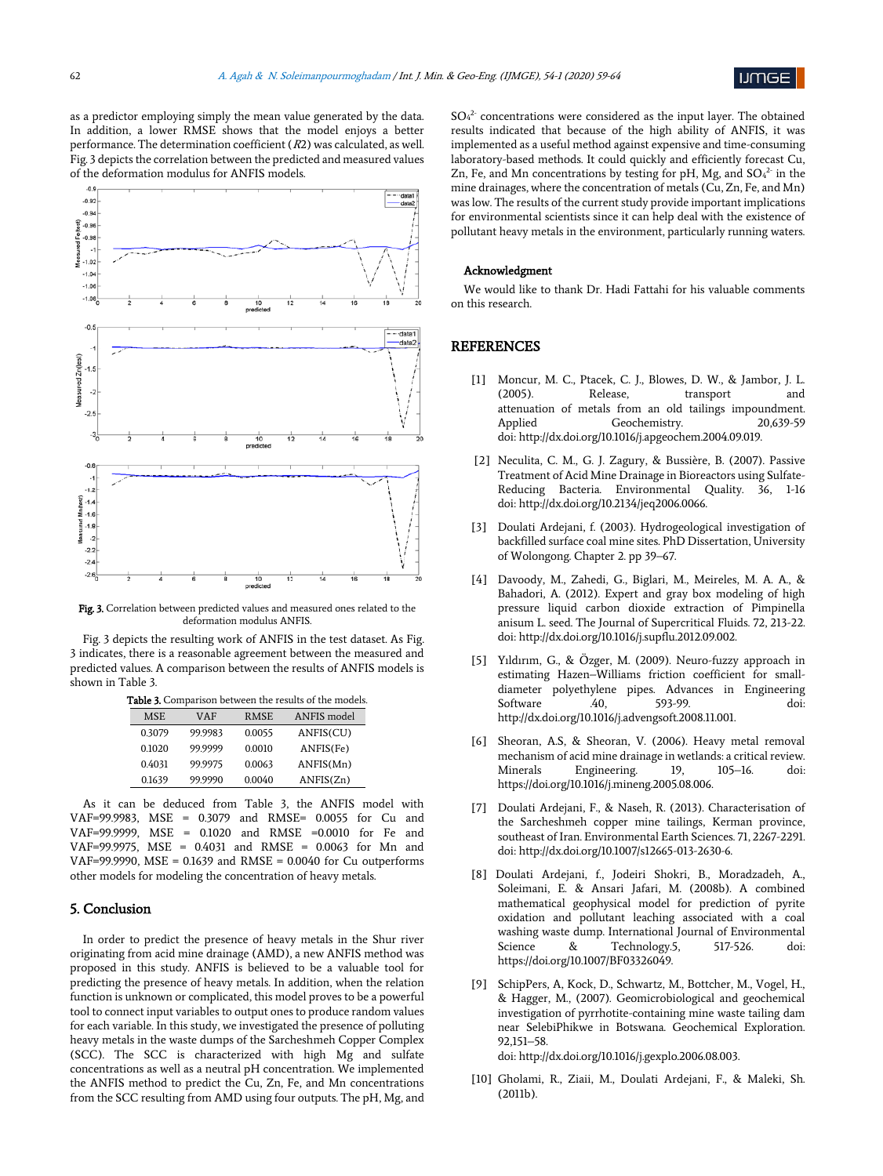

as a predictor employing simply the mean value generated by the data. In addition, a lower RMSE shows that the model enjoys a better performance. The determination coefficient  $(R2)$  was calculated, as well. Fig. 3 depicts the correlation between the predicted and measured values of the deformation modulus for ANFIS models.



Fig. 3. Correlation between predicted values and measured ones related to the deformation modulus ANFIS.

Fig. 3 depicts the resulting work of ANFIS in the test dataset. As Fig. 3 indicates, there is a reasonable agreement between the measured and predicted values. A comparison between the results of ANFIS models is shown in Table 3.

Table 3. Comparison between the results of the models.

| <b>rable 3.</b> Comparison between the results of the models. |         |             |             |  |  |  |
|---------------------------------------------------------------|---------|-------------|-------------|--|--|--|
| <b>MSE</b>                                                    | VAF     | <b>RMSE</b> | ANFIS model |  |  |  |
| 0.3079                                                        | 99.9983 | 0.0055      | ANFIS(CU)   |  |  |  |
| 0.1020                                                        | 99.9999 | 0.0010      | ANFIS(Fe)   |  |  |  |
| 0.4031                                                        | 99.9975 | 0.0063      | ANFIS(Mn)   |  |  |  |
| 0.1639                                                        | 99.9990 | 0.0040      | ANFIS(Zn)   |  |  |  |

As it can be deduced from Table 3, the ANFIS model with VAF=99.9983, MSE = 0.3079 and RMSE= 0.0055 for Cu and VAF=99.9999, MSE = 0.1020 and RMSE =0.0010 for Fe and VAF=99.9975, MSE = 0.4031 and RMSE = 0.0063 for Mn and VAF=99.9990, MSE = 0.1639 and RMSE = 0.0040 for Cu outperforms other models for modeling the concentration of heavy metals.

#### 5. Conclusion

In order to predict the presence of heavy metals in the Shur river originating from acid mine drainage (AMD), a new ANFIS method was proposed in this study. ANFIS is believed to be a valuable tool for predicting the presence of heavy metals. In addition, when the relation function is unknown or complicated, this model proves to be a powerful tool to connect input variables to output ones to produce random values for each variable. In this study, we investigated the presence of polluting heavy metals in the waste dumps of the Sarcheshmeh Copper Complex (SCC). The SCC is characterized with high Mg and sulfate concentrations as well as a neutral pH concentration. We implemented the ANFIS method to predict the Cu, Zn, Fe, and Mn concentrations from the SCC resulting from AMD using four outputs. The pH, Mg, and

 $SO<sub>4</sub><sup>2</sup>$  concentrations were considered as the input layer. The obtained results indicated that because of the high ability of ANFIS, it was implemented as a useful method against expensive and time-consuming laboratory-based methods. It could quickly and efficiently forecast Cu, Zn, Fe, and Mn concentrations by testing for pH, Mg, and  $SO_4^2$  in the mine drainages, where the concentration of metals (Cu, Zn, Fe, and Mn) was low. The results of the current study provide important implications for environmental scientists since it can help deal with the existence of pollutant heavy metals in the environment, particularly running waters.

#### Acknowledgment

We would like to thank Dr. Hadi Fattahi for his valuable comments on this research.

## **REFERENCES**

- [1] Moncur, M. C., Ptacek, C. J., Blowes, D. W., & Jambor, J. L. (2005). Release, transport and attenuation of metals from an old tailings impoundment. Applied Geochemistry. 20,639-59 doi: http://dx.doi.org/10.1016/j.apgeochem.2004.09.019.
- [2] Neculita, C. M., G. J. Zagury, & Bussière, B. (2007). Passive Treatment of Acid Mine Drainage in Bioreactors using Sulfate-Reducing Bacteria. Environmental Quality. 36, 1-16 doi: http://dx.doi.org/10.2134/jeq2006.0066.
- [3] Doulati Ardejani, f. (2003). Hydrogeological investigation of backfilled surface coal mine sites. PhD Dissertation, University of Wolongong. Chapter 2. pp 39–67.
- [4] Davoody, M., Zahedi, G., Biglari, M., Meireles, M. A. A., & Bahadori, A. (2012). Expert and gray box modeling of high pressure liquid carbon dioxide extraction of Pimpinella anisum L. seed. The Journal of Supercritical Fluids. 72, 213-22. doi: http://dx.doi.org/10.1016/j.supflu.2012.09.002.
- [5] Yıldırım, G., & Özger, M. (2009). Neuro-fuzzy approach in estimating Hazen–Williams friction coefficient for smalldiameter polyethylene pipes. Advances in Engineering Software .40, 593-99. doi: http://dx.doi.org/10.1016/j.advengsoft.2008.11.001.
- [6] Sheoran, A.S, & Sheoran, V. (2006). Heavy metal removal mechanism of acid mine drainage in wetlands: a critical review. Minerals Engineering. 19, 105–16. doi: https://doi.org/10.1016/j.mineng.2005.08.006.
- [7] Doulati Ardejani, F., & Naseh, R. (2013). Characterisation of the Sarcheshmeh copper mine tailings, Kerman province, southeast of Iran. Environmental Earth Sciences. 71, 2267-2291. doi: http://dx.doi.org/10.1007/s12665-013-2630-6.
- [8] Doulati Ardejani, f., Jodeiri Shokri, B., Moradzadeh, A., Soleimani, E. & Ansari Jafari, M. (2008b). A combined mathematical geophysical model for prediction of pyrite oxidation and pollutant leaching associated with a coal washing waste dump. International Journal of Environmental Science & Technology.5, 517-526. doi: https://doi.org/10.1007/BF03326049.
- [9] SchipPers, A, Kock, D., Schwartz, M., Bottcher, M., Vogel, H., & Hagger, M., (2007). Geomicrobiological and geochemical investigation of pyrrhotite-containing mine waste tailing dam near SelebiPhikwe in Botswana. Geochemical Exploration. 92,151–58.

doi: http://dx.doi.org/10.1016/j.gexplo.2006.08.003.

[10] Gholami, R., Ziaii, M., Doulati Ardejani, F., & Maleki, Sh. (2011b).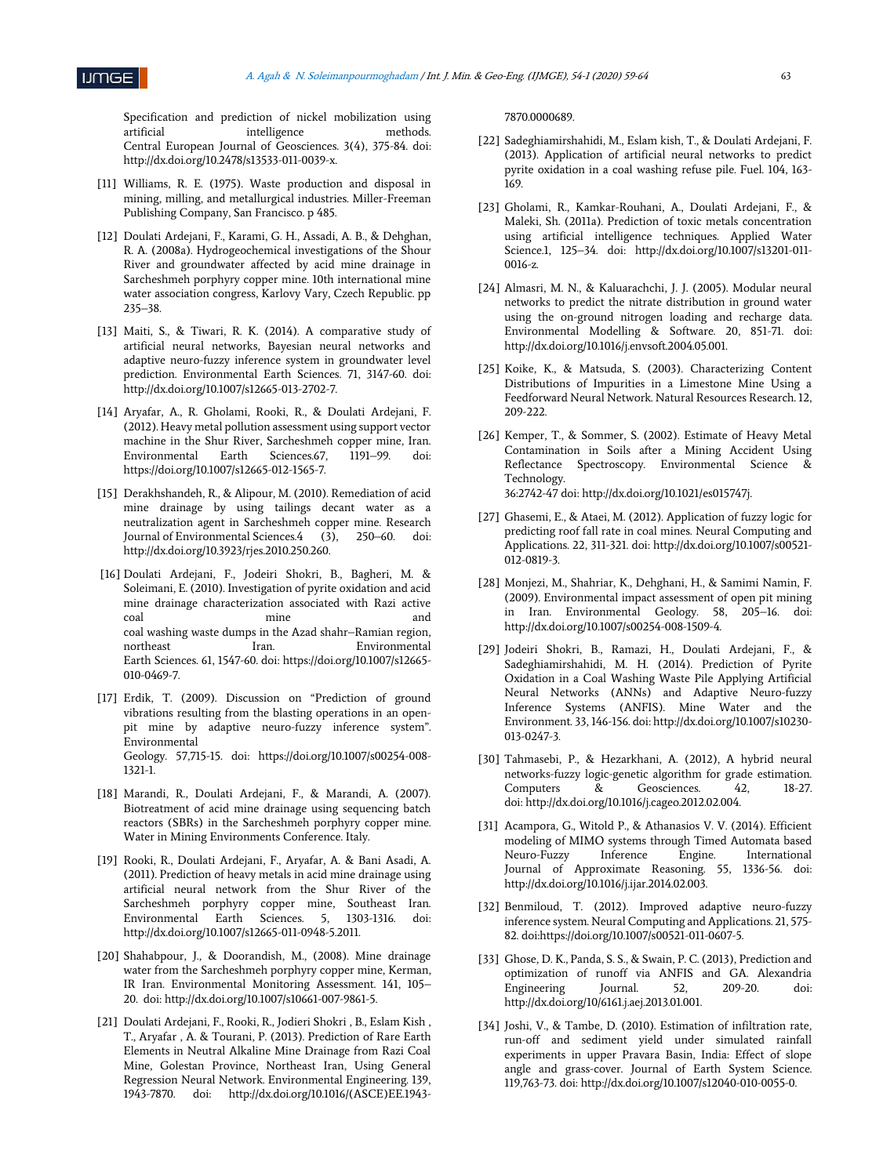

Specification and prediction of nickel mobilization using artificial intelligence methods. Central European Journal of Geosciences. 3(4), 375-84. doi: http://dx.doi.org/10.2478/s13533-011-0039-x.

- [11] Williams, R. E. (1975). Waste production and disposal in mining, milling, and metallurgical industries. Miller-Freeman Publishing Company, San Francisco. p 485.
- [12] Doulati Ardejani, F., Karami, G. H., Assadi, A. B., & Dehghan, R. A. (2008a). Hydrogeochemical investigations of the Shour River and groundwater affected by acid mine drainage in Sarcheshmeh porphyry copper mine. 10th international mine water association congress, Karlovy Vary, Czech Republic. pp 235–38.
- [13] Maiti, S., & Tiwari, R. K. (2014). A comparative study of artificial neural networks, Bayesian neural networks and adaptive neuro-fuzzy inference system in groundwater level prediction. Environmental Earth Sciences. 71, 3147-60. doi: http://dx.doi.org/10.1007/s12665-013-2702-7.
- [14] Aryafar, A., R. Gholami, Rooki, R., & Doulati Ardejani, F. (2012). Heavy metal pollution assessment using support vector machine in the Shur River, Sarcheshmeh copper mine, Iran. Environmental Earth Sciences.67, 1191–99. doi: https://doi.org/10.1007/s12665-012-1565-7.
- [15] Derakhshandeh, R., & Alipour, M. (2010). Remediation of acid mine drainage by using tailings decant water as a neutralization agent in Sarcheshmeh copper mine. Research Journal of Environmental Sciences.4 (3), 250–60. doi: http://dx.doi.org/10.3923/rjes.2010.250.260.
- [16] Doulati Ardejani, F., Jodeiri Shokri, B., Bagheri, M. & Soleimani, E. (2010). Investigation of pyrite oxidation and acid mine drainage characterization associated with Razi active coal mine and coal washing waste dumps in the Azad shahr–Ramian region, northeast Iran. Environmental Earth Sciences. 61, 1547-60. doi: https://doi.org/10.1007/s12665- 010-0469-7.
- [17] Erdik, T. (2009). Discussion on "Prediction of ground vibrations resulting from the blasting operations in an openpit mine by adaptive neuro-fuzzy inference system". Environmental Geology. 57,715-15. doi: https://doi.org/10.1007/s00254-008- 1321-1.
- [18] Marandi, R., Doulati Ardejani, F., & Marandi, A. (2007). Biotreatment of acid mine drainage using sequencing batch reactors (SBRs) in the Sarcheshmeh porphyry copper mine. Water in Mining Environments Conference. Italy.
- [19] Rooki, R., Doulati Ardejani, F., Aryafar, A. & Bani Asadi, A. (2011). Prediction of heavy metals in acid mine drainage using artificial neural network from the Shur River of the Sarcheshmeh porphyry copper mine, Southeast Iran. Environmental Earth Sciences. 5, 1303-1316. doi: http://dx.doi.org/10.1007/s12665-011-0948-5.2011.
- [20] Shahabpour, J., & Doorandish, M., (2008). Mine drainage water from the Sarcheshmeh porphyry copper mine, Kerman, IR Iran. Environmental Monitoring Assessment. 141, 105– 20. doi: http://dx.doi.org/10.1007/s10661-007-9861-5.
- [21] Doulati Ardejani, F., Rooki, R., Jodieri Shokri , B., Eslam Kish , T., Aryafar , A. & Tourani, P. (2013). Prediction of Rare Earth Elements in Neutral Alkaline Mine Drainage from Razi Coal Mine, Golestan Province, Northeast Iran, Using General Regression Neural Network. Environmental Engineering. 139, 1943-7870. doi: http://dx.doi.org/10.1016/(ASCE)EE.1943-

#### 7870.0000689.

- [22] Sadeghiamirshahidi, M., Eslam kish, T., & Doulati Ardejani, F. (2013). Application of artificial neural networks to predict pyrite oxidation in a coal washing refuse pile. Fuel. 104, 163- 169.
- [23] Gholami, R., Kamkar-Rouhani, A., Doulati Ardejani, F., & Maleki, Sh. (2011a). Prediction of toxic metals concentration using artificial intelligence techniques. Applied Water Science.1, 125–34. doi: http://dx.doi.org/10.1007/s13201-011- 0016-z.
- [24] Almasri, M. N., & Kaluarachchi, J. J. (2005). Modular neural networks to predict the nitrate distribution in ground water using the on-ground nitrogen loading and recharge data. Environmental Modelling & Software. 20, 851-71. doi: http://dx.doi.org/10.1016/j.envsoft.2004.05.001.
- [25] Koike, K., & Matsuda, S. (2003). Characterizing Content Distributions of Impurities in a Limestone Mine Using a Feedforward Neural Network. Natural Resources Research. 12, 209-222.
- [26] Kemper, T., & Sommer, S. (2002). Estimate of Heavy Metal Contamination in Soils after a Mining Accident Using Reflectance Spectroscopy. Environmental Science & Technology. 36:2742-47 doi: http://dx.doi.org/10.1021/es015747j.
- [27] Ghasemi, E., & Ataei, M. (2012). Application of fuzzy logic for predicting roof fall rate in coal mines. Neural Computing and Applications. 22, 311-321. doi: http://dx.doi.org/10.1007/s00521- 012-0819-3.
- [28] Monjezi, M., Shahriar, K., Dehghani, H., & Samimi Namin, F. (2009). Environmental impact assessment of open pit mining in Iran. Environmental Geology. 58, 205–16. doi: http://dx.doi.org/10.1007/s00254-008-1509-4.
- [29] Jodeiri Shokri, B., Ramazi, H., Doulati Ardejani, F., & Sadeghiamirshahidi, M. H. (2014). Prediction of Pyrite Oxidation in a Coal Washing Waste Pile Applying Artificial Neural Networks (ANNs) and Adaptive Neuro-fuzzy Inference Systems (ANFIS). Mine Water and the Environment. 33, 146-156. doi: http://dx.doi.org/10.1007/s10230- 013-0247-3.
- [30] Tahmasebi, P., & Hezarkhani, A. (2012), A hybrid neural networks-fuzzy logic-genetic algorithm for grade estimation. Computers & Geosciences. 42, 18-27. doi: http://dx.doi.org/10.1016/j.cageo.2012.02.004.
- [31] Acampora, G., Witold P., & Athanasios V. V. (2014). Efficient modeling of MIMO systems through Timed Automata based Neuro-Fuzzy Inference Engine. International Journal of Approximate Reasoning. 55, 1336-56. doi: http://dx.doi.org/10.1016/j.ijar.2014.02.003.
- [32] Benmiloud, T. (2012). Improved adaptive neuro-fuzzy inference system. Neural Computing and Applications. 21, 575- 82. doi:https://doi.org/10.1007/s00521-011-0607-5.
- [33] Ghose, D. K., Panda, S. S., & Swain, P. C. (2013), Prediction and optimization of runoff via ANFIS and GA. Alexandria Engineering Journal. 52, 209-20. doi: http://dx.doi.org/10/6161.j.aej.2013.01.001.
- [34] Joshi, V., & Tambe, D. (2010). Estimation of infiltration rate, run-off and sediment yield under simulated rainfall experiments in upper Pravara Basin, India: Effect of slope angle and grass-cover. Journal of Earth System Science. 119,763-73. doi: http://dx.doi.org/10.1007/s12040-010-0055-0.